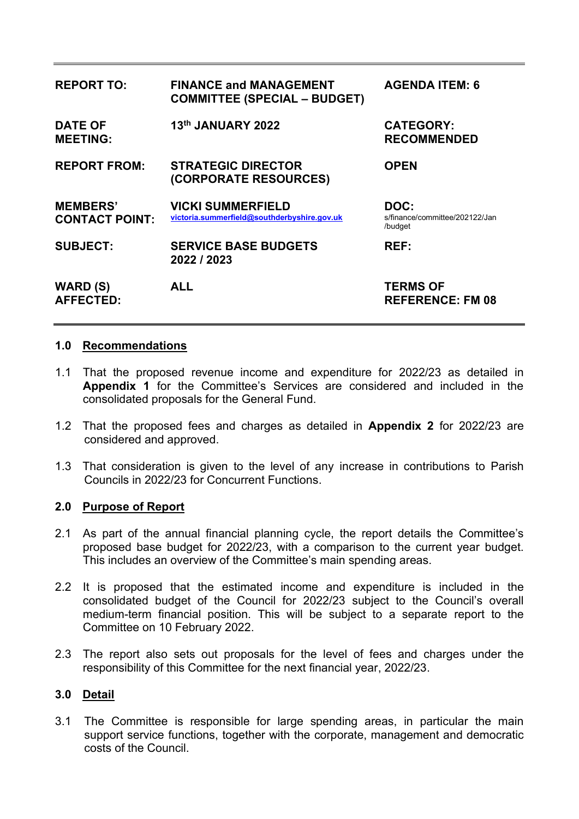| <b>REPORT TO:</b>                        | <b>FINANCE and MANAGEMENT</b><br><b>COMMITTEE (SPECIAL - BUDGET)</b>    | <b>AGENDA ITEM: 6</b>                             |
|------------------------------------------|-------------------------------------------------------------------------|---------------------------------------------------|
| <b>DATE OF</b><br><b>MEETING:</b>        | 13th JANUARY 2022                                                       | <b>CATEGORY:</b><br><b>RECOMMENDED</b>            |
| <b>REPORT FROM:</b>                      | <b>STRATEGIC DIRECTOR</b><br>(CORPORATE RESOURCES)                      | <b>OPEN</b>                                       |
| <b>MEMBERS'</b><br><b>CONTACT POINT:</b> | <b>VICKI SUMMERFIELD</b><br>victoria.summerfield@southderbyshire.gov.uk | DOC:<br>s/finance/committee/202122/Jan<br>/budget |
| <b>SUBJECT:</b>                          | <b>SERVICE BASE BUDGETS</b><br>2022 / 2023                              | <b>REF:</b>                                       |
| <b>WARD (S)</b><br><b>AFFECTED:</b>      | <b>ALL</b>                                                              | <b>TERMS OF</b><br><b>REFERENCE: FM 08</b>        |

#### **1.0 Recommendations**

- 1.1 That the proposed revenue income and expenditure for 2022/23 as detailed in **Appendix 1** for the Committee's Services are considered and included in the consolidated proposals for the General Fund.
- 1.2 That the proposed fees and charges as detailed in **Appendix 2** for 2022/23 are considered and approved.
- 1.3 That consideration is given to the level of any increase in contributions to Parish Councils in 2022/23 for Concurrent Functions.

### **2.0 Purpose of Report**

- 2.1 As part of the annual financial planning cycle, the report details the Committee's proposed base budget for 2022/23, with a comparison to the current year budget. This includes an overview of the Committee's main spending areas.
- 2.2 It is proposed that the estimated income and expenditure is included in the consolidated budget of the Council for 2022/23 subject to the Council's overall medium-term financial position. This will be subject to a separate report to the Committee on 10 February 2022.
- 2.3 The report also sets out proposals for the level of fees and charges under the responsibility of this Committee for the next financial year, 2022/23.

# **3.0 Detail**

3.1 The Committee is responsible for large spending areas, in particular the main support service functions, together with the corporate, management and democratic costs of the Council.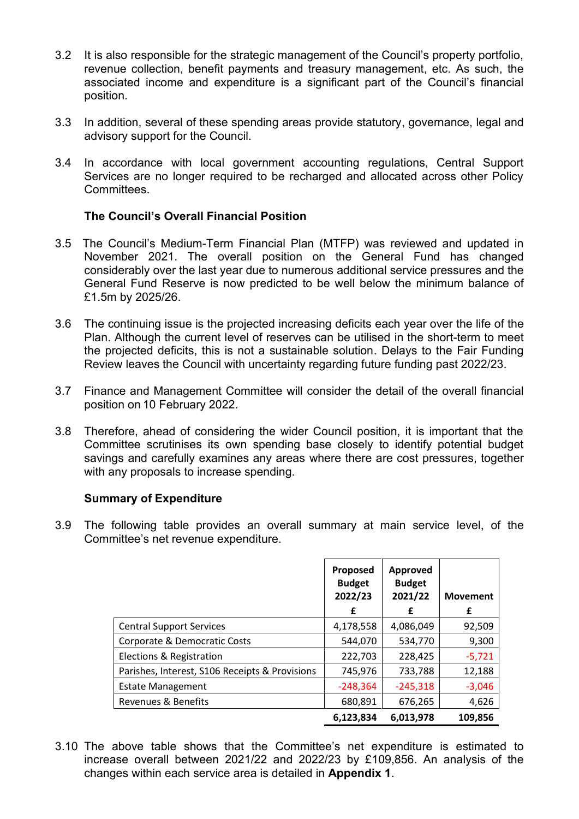- 3.2 It is also responsible for the strategic management of the Council's property portfolio, revenue collection, benefit payments and treasury management, etc. As such, the associated income and expenditure is a significant part of the Council's financial position.
- 3.3 In addition, several of these spending areas provide statutory, governance, legal and advisory support for the Council.
- 3.4 In accordance with local government accounting regulations, Central Support Services are no longer required to be recharged and allocated across other Policy Committees.

# **The Council's Overall Financial Position**

- 3.5 The Council's Medium-Term Financial Plan (MTFP) was reviewed and updated in November 2021. The overall position on the General Fund has changed considerably over the last year due to numerous additional service pressures and the General Fund Reserve is now predicted to be well below the minimum balance of £1.5m by 2025/26.
- 3.6 The continuing issue is the projected increasing deficits each year over the life of the Plan. Although the current level of reserves can be utilised in the short-term to meet the projected deficits, this is not a sustainable solution. Delays to the Fair Funding Review leaves the Council with uncertainty regarding future funding past 2022/23.
- 3.7 Finance and Management Committee will consider the detail of the overall financial position on 10 February 2022.
- 3.8 Therefore, ahead of considering the wider Council position, it is important that the Committee scrutinises its own spending base closely to identify potential budget savings and carefully examines any areas where there are cost pressures, together with any proposals to increase spending.

### **Summary of Expenditure**

3.9 The following table provides an overall summary at main service level, of the Committee's net revenue expenditure.

|                                                | Proposed<br><b>Budget</b><br>2022/23<br>£ | <b>Approved</b><br><b>Budget</b><br>2021/22<br>£ | <b>Movement</b><br>£ |
|------------------------------------------------|-------------------------------------------|--------------------------------------------------|----------------------|
| <b>Central Support Services</b>                | 4,178,558                                 | 4,086,049                                        | 92,509               |
| Corporate & Democratic Costs                   | 544,070                                   | 534,770                                          | 9,300                |
| Elections & Registration                       | 222,703                                   | 228,425                                          | $-5,721$             |
| Parishes, Interest, S106 Receipts & Provisions | 745,976                                   | 733,788                                          | 12,188               |
| <b>Estate Management</b>                       | $-248,364$                                | $-245,318$                                       | $-3,046$             |
| Revenues & Benefits                            | 680,891                                   | 676,265                                          | 4,626                |
|                                                | 6,123,834                                 | 6,013,978                                        | 109,856              |

3.10 The above table shows that the Committee's net expenditure is estimated to increase overall between 2021/22 and 2022/23 by £109,856. An analysis of the changes within each service area is detailed in **Appendix 1**.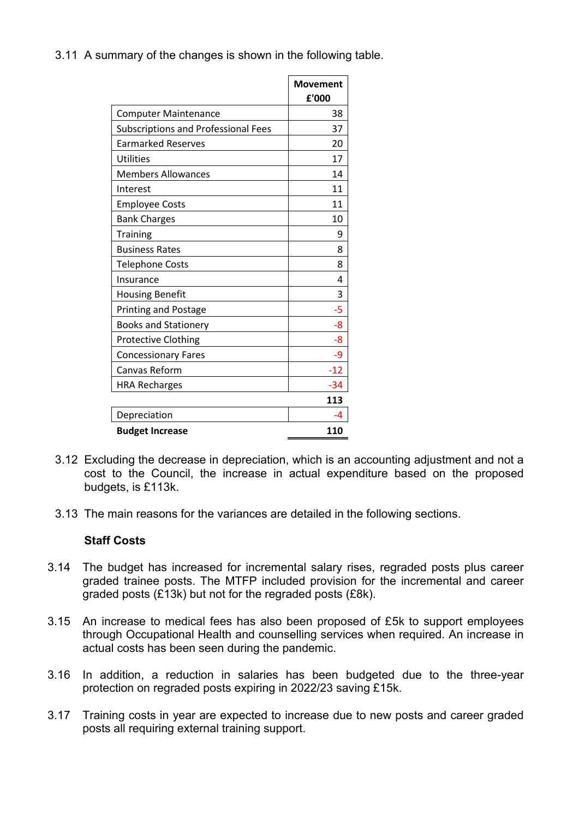3.11 A summary of the changes is shown in the following table.

|                                     | <b>Movement</b> |
|-------------------------------------|-----------------|
|                                     | £'000           |
| <b>Computer Maintenance</b>         | 38              |
| Subscriptions and Professional Fees | 37              |
| <b>Earmarked Reserves</b>           | 20              |
| Utilities                           | 17              |
| <b>Members Allowances</b>           | 14              |
| Interest                            | 11              |
| <b>Employee Costs</b>               | 11              |
| <b>Bank Charges</b>                 | 10              |
| <b>Training</b>                     | 9               |
| <b>Business Rates</b>               | 8               |
| <b>Telephone Costs</b>              | 8               |
| Insurance                           | 4               |
| <b>Housing Benefit</b>              | 3               |
| <b>Printing and Postage</b>         | -5              |
| <b>Books and Stationery</b>         | -8              |
| <b>Protective Clothing</b>          | -8              |
| <b>Concessionary Fares</b>          | -9              |
| <b>Canvas Reform</b>                | $-12$           |
| <b>HRA Recharges</b>                | -34             |
|                                     | 113             |
| Depreciation                        | -4              |
| <b>Budget Increase</b>              | 110             |

- 3.12 Excluding the decrease in depreciation, which is an accounting adjustment and not a cost to the Council, the increase in actual expenditure based on the proposed budgets, is £113k.
- 3.13 The main reasons for the variances are detailed in the following sections.

# **Staff Costs**

- 3.14 The budget has increased for incremental salary rises, regraded posts plus career graded trainee posts. The MTFP included provision for the incremental and career graded posts (£13k) but not for the regraded posts (£8k).
- 3.15 An increase to medical fees has also been proposed of £5k to support employees through Occupational Health and counselling services when required. An increase in actual costs has been seen during the pandemic.
- 3.16 In addition, a reduction in salaries has been budgeted due to the three-year protection on regraded posts expiring in 2022/23 saving £15k.
- 3.17 Training costs in year are expected to increase due to new posts and career graded posts all requiring external training support.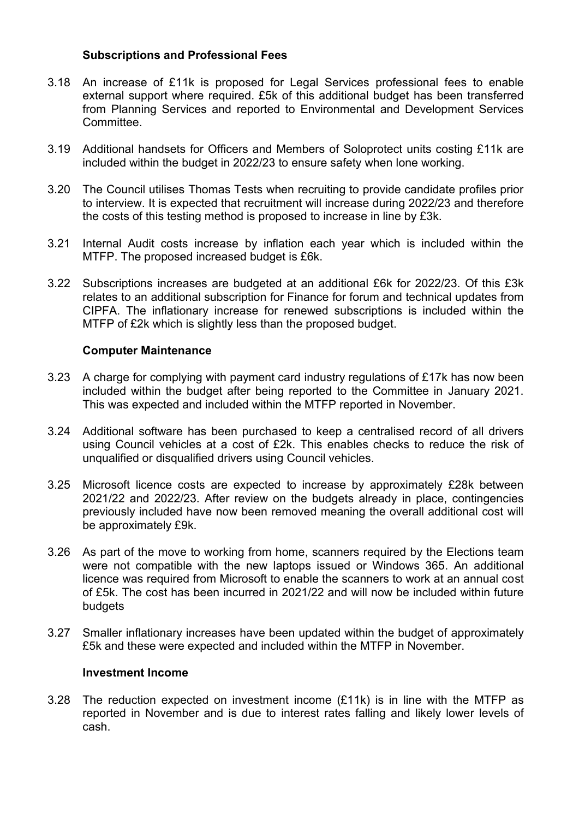### **Subscriptions and Professional Fees**

- 3.18 An increase of £11k is proposed for Legal Services professional fees to enable external support where required. £5k of this additional budget has been transferred from Planning Services and reported to Environmental and Development Services Committee.
- 3.19 Additional handsets for Officers and Members of Soloprotect units costing £11k are included within the budget in 2022/23 to ensure safety when lone working.
- 3.20 The Council utilises Thomas Tests when recruiting to provide candidate profiles prior to interview. It is expected that recruitment will increase during 2022/23 and therefore the costs of this testing method is proposed to increase in line by £3k.
- 3.21 Internal Audit costs increase by inflation each year which is included within the MTFP. The proposed increased budget is £6k.
- 3.22 Subscriptions increases are budgeted at an additional £6k for 2022/23. Of this £3k relates to an additional subscription for Finance for forum and technical updates from CIPFA. The inflationary increase for renewed subscriptions is included within the MTFP of £2k which is slightly less than the proposed budget.

# **Computer Maintenance**

- 3.23 A charge for complying with payment card industry regulations of £17k has now been included within the budget after being reported to the Committee in January 2021. This was expected and included within the MTFP reported in November.
- 3.24 Additional software has been purchased to keep a centralised record of all drivers using Council vehicles at a cost of £2k. This enables checks to reduce the risk of unqualified or disqualified drivers using Council vehicles.
- 3.25 Microsoft licence costs are expected to increase by approximately £28k between 2021/22 and 2022/23. After review on the budgets already in place, contingencies previously included have now been removed meaning the overall additional cost will be approximately £9k.
- 3.26 As part of the move to working from home, scanners required by the Elections team were not compatible with the new laptops issued or Windows 365. An additional licence was required from Microsoft to enable the scanners to work at an annual cost of £5k. The cost has been incurred in 2021/22 and will now be included within future budgets
- 3.27 Smaller inflationary increases have been updated within the budget of approximately £5k and these were expected and included within the MTFP in November.

### **Investment Income**

3.28 The reduction expected on investment income (£11k) is in line with the MTFP as reported in November and is due to interest rates falling and likely lower levels of cash.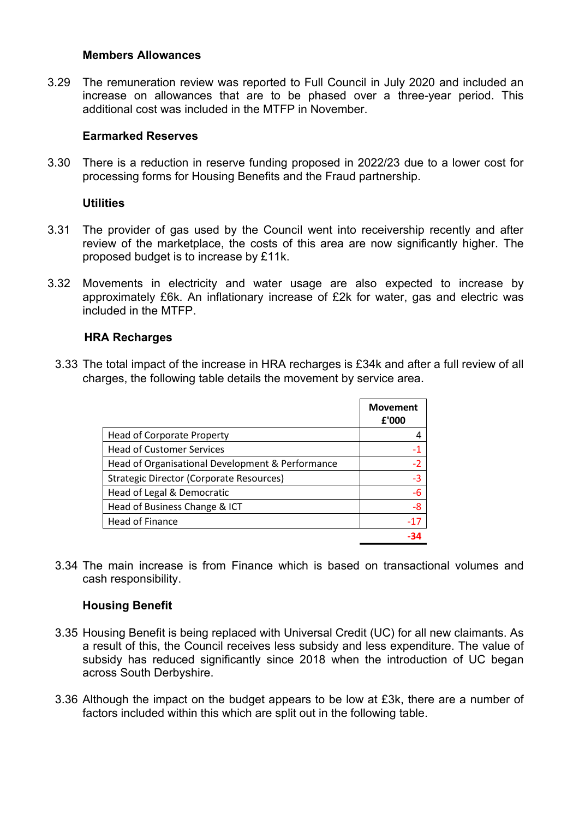#### **Members Allowances**

3.29 The remuneration review was reported to Full Council in July 2020 and included an increase on allowances that are to be phased over a three-year period. This additional cost was included in the MTFP in November.

#### **Earmarked Reserves**

3.30 There is a reduction in reserve funding proposed in 2022/23 due to a lower cost for processing forms for Housing Benefits and the Fraud partnership.

#### **Utilities**

- 3.31 The provider of gas used by the Council went into receivership recently and after review of the marketplace, the costs of this area are now significantly higher. The proposed budget is to increase by £11k.
- 3.32 Movements in electricity and water usage are also expected to increase by approximately £6k. An inflationary increase of £2k for water, gas and electric was included in the MTFP.

### **HRA Recharges**

3.33 The total impact of the increase in HRA recharges is £34k and after a full review of all charges, the following table details the movement by service area.

|                                                  | <b>Movement</b><br>£'000 |
|--------------------------------------------------|--------------------------|
| <b>Head of Corporate Property</b>                |                          |
| <b>Head of Customer Services</b>                 | -1                       |
| Head of Organisational Development & Performance | $-2$                     |
| <b>Strategic Director (Corporate Resources)</b>  | $-3$                     |
| Head of Legal & Democratic                       | $-6$                     |
| Head of Business Change & ICT                    | $-8$                     |
| <b>Head of Finance</b>                           | $-17$                    |
|                                                  |                          |

3.34 The main increase is from Finance which is based on transactional volumes and cash responsibility.

### **Housing Benefit**

- 3.35 Housing Benefit is being replaced with Universal Credit (UC) for all new claimants. As a result of this, the Council receives less subsidy and less expenditure. The value of subsidy has reduced significantly since 2018 when the introduction of UC began across South Derbyshire.
- 3.36 Although the impact on the budget appears to be low at £3k, there are a number of factors included within this which are split out in the following table.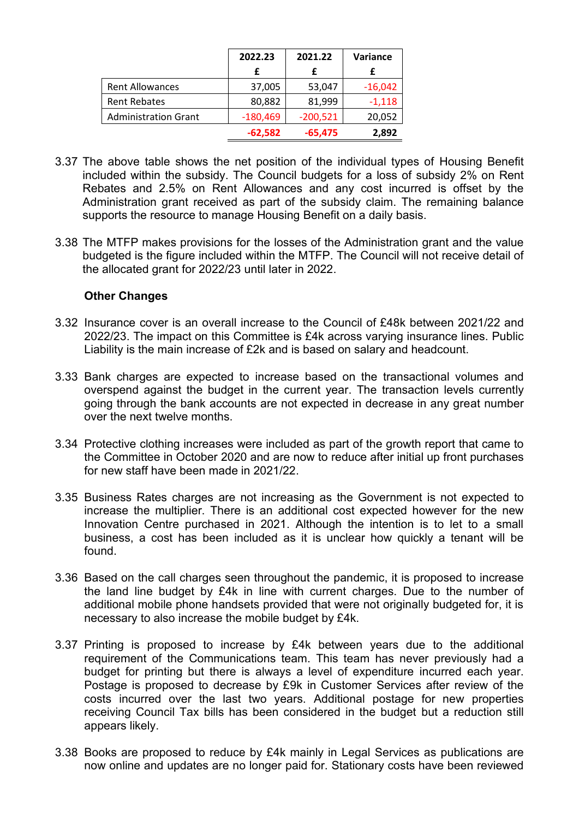|                             | 2022.23    | 2021.22    | Variance  |
|-----------------------------|------------|------------|-----------|
|                             |            |            |           |
| <b>Rent Allowances</b>      | 37,005     | 53,047     | $-16,042$ |
| <b>Rent Rebates</b>         | 80,882     | 81,999     | $-1,118$  |
| <b>Administration Grant</b> | $-180,469$ | $-200,521$ | 20,052    |
|                             | $-62,582$  | $-65,475$  | 2,892     |

- 3.37 The above table shows the net position of the individual types of Housing Benefit included within the subsidy. The Council budgets for a loss of subsidy 2% on Rent Rebates and 2.5% on Rent Allowances and any cost incurred is offset by the Administration grant received as part of the subsidy claim. The remaining balance supports the resource to manage Housing Benefit on a daily basis.
- 3.38 The MTFP makes provisions for the losses of the Administration grant and the value budgeted is the figure included within the MTFP. The Council will not receive detail of the allocated grant for 2022/23 until later in 2022.

### **Other Changes**

- 3.32 Insurance cover is an overall increase to the Council of £48k between 2021/22 and 2022/23. The impact on this Committee is £4k across varying insurance lines. Public Liability is the main increase of £2k and is based on salary and headcount.
- 3.33 Bank charges are expected to increase based on the transactional volumes and overspend against the budget in the current year. The transaction levels currently going through the bank accounts are not expected in decrease in any great number over the next twelve months.
- 3.34 Protective clothing increases were included as part of the growth report that came to the Committee in October 2020 and are now to reduce after initial up front purchases for new staff have been made in 2021/22.
- 3.35 Business Rates charges are not increasing as the Government is not expected to increase the multiplier. There is an additional cost expected however for the new Innovation Centre purchased in 2021. Although the intention is to let to a small business, a cost has been included as it is unclear how quickly a tenant will be found.
- 3.36 Based on the call charges seen throughout the pandemic, it is proposed to increase the land line budget by £4k in line with current charges. Due to the number of additional mobile phone handsets provided that were not originally budgeted for, it is necessary to also increase the mobile budget by £4k.
- 3.37 Printing is proposed to increase by £4k between years due to the additional requirement of the Communications team. This team has never previously had a budget for printing but there is always a level of expenditure incurred each year. Postage is proposed to decrease by £9k in Customer Services after review of the costs incurred over the last two years. Additional postage for new properties receiving Council Tax bills has been considered in the budget but a reduction still appears likely.
- 3.38 Books are proposed to reduce by £4k mainly in Legal Services as publications are now online and updates are no longer paid for. Stationary costs have been reviewed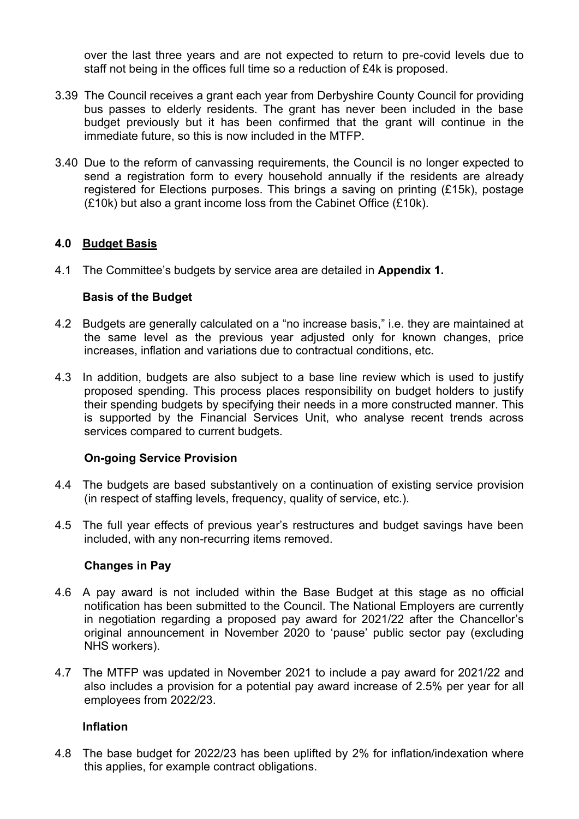over the last three years and are not expected to return to pre-covid levels due to staff not being in the offices full time so a reduction of £4k is proposed.

- 3.39 The Council receives a grant each year from Derbyshire County Council for providing bus passes to elderly residents. The grant has never been included in the base budget previously but it has been confirmed that the grant will continue in the immediate future, so this is now included in the MTFP.
- 3.40 Due to the reform of canvassing requirements, the Council is no longer expected to send a registration form to every household annually if the residents are already registered for Elections purposes. This brings a saving on printing (£15k), postage (£10k) but also a grant income loss from the Cabinet Office (£10k).

# **4.0 Budget Basis**

4.1 The Committee's budgets by service area are detailed in **Appendix 1.**

# **Basis of the Budget**

- 4.2 Budgets are generally calculated on a "no increase basis," i.e. they are maintained at the same level as the previous year adjusted only for known changes, price increases, inflation and variations due to contractual conditions, etc.
- 4.3 In addition, budgets are also subject to a base line review which is used to justify proposed spending. This process places responsibility on budget holders to justify their spending budgets by specifying their needs in a more constructed manner. This is supported by the Financial Services Unit, who analyse recent trends across services compared to current budgets.

# **On-going Service Provision**

- 4.4 The budgets are based substantively on a continuation of existing service provision (in respect of staffing levels, frequency, quality of service, etc.).
- 4.5 The full year effects of previous year's restructures and budget savings have been included, with any non-recurring items removed.

### **Changes in Pay**

- 4.6 A pay award is not included within the Base Budget at this stage as no official notification has been submitted to the Council. The National Employers are currently in negotiation regarding a proposed pay award for 2021/22 after the Chancellor's original announcement in November 2020 to 'pause' public sector pay (excluding NHS workers).
- 4.7 The MTFP was updated in November 2021 to include a pay award for 2021/22 and also includes a provision for a potential pay award increase of 2.5% per year for all employees from 2022/23.

### **Inflation**

4.8 The base budget for 2022/23 has been uplifted by 2% for inflation/indexation where this applies, for example contract obligations.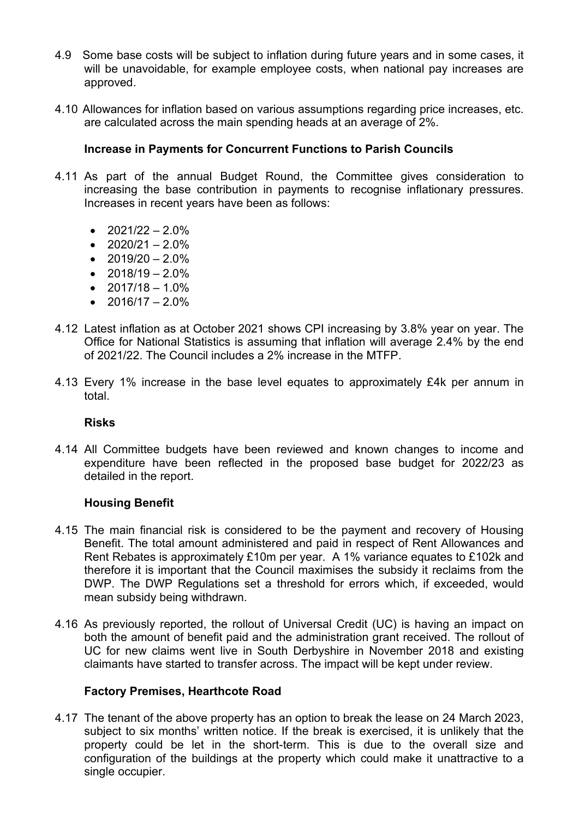- 4.9 Some base costs will be subject to inflation during future years and in some cases, it will be unavoidable, for example employee costs, when national pay increases are approved.
- 4.10 Allowances for inflation based on various assumptions regarding price increases, etc. are calculated across the main spending heads at an average of 2%.

# **Increase in Payments for Concurrent Functions to Parish Councils**

- 4.11 As part of the annual Budget Round, the Committee gives consideration to increasing the base contribution in payments to recognise inflationary pressures. Increases in recent years have been as follows:
	- $2021/22 2.0\%$
	- $2020/21 2.0\%$
	- $2019/20 2.0\%$
	- $2018/19 2.0\%$
	- $2017/18 1.0\%$
	- $2016/17 2.0\%$
- 4.12 Latest inflation as at October 2021 shows CPI increasing by 3.8% year on year. The Office for National Statistics is assuming that inflation will average 2.4% by the end of 2021/22. The Council includes a 2% increase in the MTFP.
- 4.13 Every 1% increase in the base level equates to approximately £4k per annum in total.

#### **Risks**

4.14 All Committee budgets have been reviewed and known changes to income and expenditure have been reflected in the proposed base budget for 2022/23 as detailed in the report.

### **Housing Benefit**

- 4.15 The main financial risk is considered to be the payment and recovery of Housing Benefit. The total amount administered and paid in respect of Rent Allowances and Rent Rebates is approximately £10m per year. A 1% variance equates to £102k and therefore it is important that the Council maximises the subsidy it reclaims from the DWP. The DWP Regulations set a threshold for errors which, if exceeded, would mean subsidy being withdrawn.
- 4.16 As previously reported, the rollout of Universal Credit (UC) is having an impact on both the amount of benefit paid and the administration grant received. The rollout of UC for new claims went live in South Derbyshire in November 2018 and existing claimants have started to transfer across. The impact will be kept under review.

### **Factory Premises, Hearthcote Road**

4.17 The tenant of the above property has an option to break the lease on 24 March 2023, subject to six months' written notice. If the break is exercised, it is unlikely that the property could be let in the short-term. This is due to the overall size and configuration of the buildings at the property which could make it unattractive to a single occupier.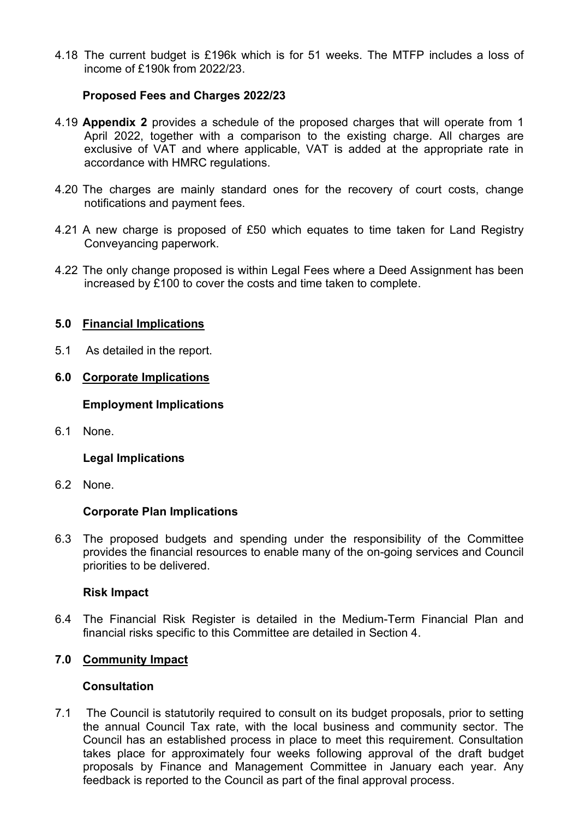4.18 The current budget is £196k which is for 51 weeks. The MTFP includes a loss of income of £190k from 2022/23.

# **Proposed Fees and Charges 2022/23**

- 4.19 **Appendix 2** provides a schedule of the proposed charges that will operate from 1 April 2022, together with a comparison to the existing charge. All charges are exclusive of VAT and where applicable, VAT is added at the appropriate rate in accordance with HMRC regulations.
- 4.20 The charges are mainly standard ones for the recovery of court costs, change notifications and payment fees.
- 4.21 A new charge is proposed of £50 which equates to time taken for Land Registry Conveyancing paperwork.
- 4.22 The only change proposed is within Legal Fees where a Deed Assignment has been increased by £100 to cover the costs and time taken to complete.

### **5.0 Financial Implications**

5.1 As detailed in the report.

#### **6.0 Corporate Implications**

#### **Employment Implications**

6.1 None.

### **Legal Implications**

6.2 None.

#### **Corporate Plan Implications**

6.3 The proposed budgets and spending under the responsibility of the Committee provides the financial resources to enable many of the on-going services and Council priorities to be delivered.

#### **Risk Impact**

6.4 The Financial Risk Register is detailed in the Medium-Term Financial Plan and financial risks specific to this Committee are detailed in Section 4.

#### **7.0 Community Impact**

#### **Consultation**

7.1 The Council is statutorily required to consult on its budget proposals, prior to setting the annual Council Tax rate, with the local business and community sector. The Council has an established process in place to meet this requirement. Consultation takes place for approximately four weeks following approval of the draft budget proposals by Finance and Management Committee in January each year. Any feedback is reported to the Council as part of the final approval process.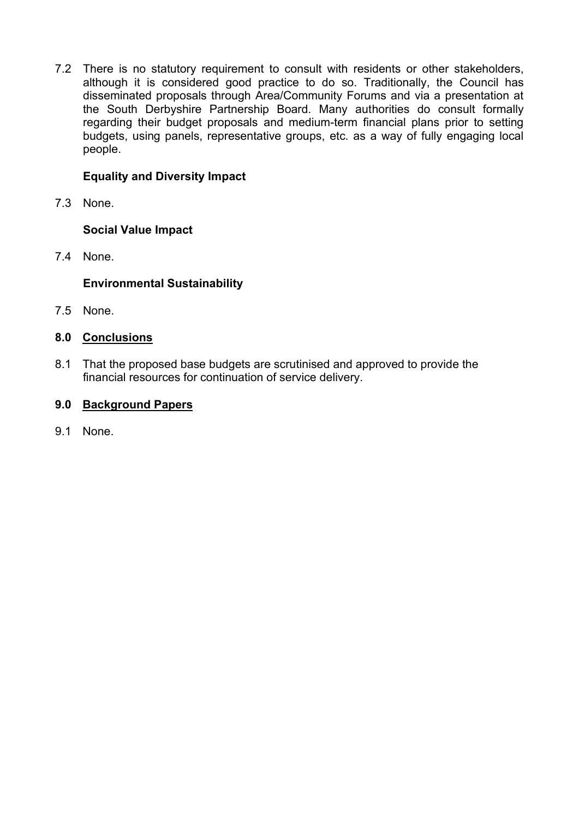7.2 There is no statutory requirement to consult with residents or other stakeholders, although it is considered good practice to do so. Traditionally, the Council has disseminated proposals through Area/Community Forums and via a presentation at the South Derbyshire Partnership Board. Many authorities do consult formally regarding their budget proposals and medium-term financial plans prior to setting budgets, using panels, representative groups, etc. as a way of fully engaging local people.

# **Equality and Diversity Impact**

7.3 None.

# **Social Value Impact**

7.4 None.

# **Environmental Sustainability**

7.5 None.

# **8.0 Conclusions**

8.1 That the proposed base budgets are scrutinised and approved to provide the financial resources for continuation of service delivery.

# **9.0 Background Papers**

9.1 None.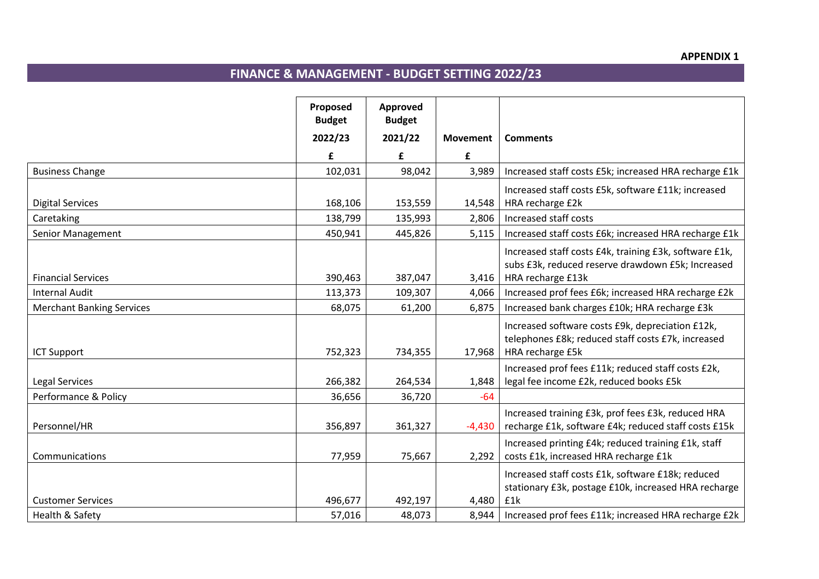# **FINANCE & MANAGEMENT - BUDGET SETTING 2022/23**

|                                  | Proposed<br><b>Budget</b> | Approved<br><b>Budget</b> |                 |                                                                                                                                  |
|----------------------------------|---------------------------|---------------------------|-----------------|----------------------------------------------------------------------------------------------------------------------------------|
|                                  | 2022/23                   | 2021/22                   | <b>Movement</b> | <b>Comments</b>                                                                                                                  |
|                                  | £                         | £                         | £               |                                                                                                                                  |
| <b>Business Change</b>           | 102,031                   | 98,042                    | 3,989           | Increased staff costs £5k; increased HRA recharge £1k                                                                            |
| <b>Digital Services</b>          | 168,106                   | 153,559                   | 14,548          | Increased staff costs £5k, software £11k; increased<br>HRA recharge £2k                                                          |
| Caretaking                       | 138,799                   | 135,993                   | 2,806           | Increased staff costs                                                                                                            |
| Senior Management                | 450,941                   | 445,826                   | 5,115           | Increased staff costs £6k; increased HRA recharge £1k                                                                            |
| <b>Financial Services</b>        | 390,463                   | 387,047                   | 3,416           | Increased staff costs £4k, training £3k, software £1k,<br>subs £3k, reduced reserve drawdown £5k; Increased<br>HRA recharge £13k |
| <b>Internal Audit</b>            | 113,373                   | 109,307                   | 4,066           | Increased prof fees £6k; increased HRA recharge £2k                                                                              |
| <b>Merchant Banking Services</b> | 68,075                    | 61,200                    | 6,875           | Increased bank charges £10k; HRA recharge £3k                                                                                    |
| <b>ICT Support</b>               | 752,323                   | 734,355                   | 17,968          | Increased software costs £9k, depreciation £12k,<br>telephones £8k; reduced staff costs £7k, increased<br>HRA recharge £5k       |
| <b>Legal Services</b>            | 266,382                   | 264,534                   | 1,848           | Increased prof fees £11k; reduced staff costs £2k,<br>legal fee income £2k, reduced books £5k                                    |
| Performance & Policy             | 36,656                    | 36,720                    | $-64$           |                                                                                                                                  |
| Personnel/HR                     | 356,897                   | 361,327                   | $-4,430$        | Increased training £3k, prof fees £3k, reduced HRA<br>recharge £1k, software £4k; reduced staff costs £15k                       |
| Communications                   | 77,959                    | 75,667                    | 2,292           | Increased printing £4k; reduced training £1k, staff<br>costs £1k, increased HRA recharge £1k                                     |
| <b>Customer Services</b>         | 496,677                   | 492,197                   | 4,480           | Increased staff costs £1k, software £18k; reduced<br>stationary £3k, postage £10k, increased HRA recharge<br>£1k                 |
| Health & Safety                  | 57,016                    | 48,073                    | 8,944           | Increased prof fees £11k; increased HRA recharge £2k                                                                             |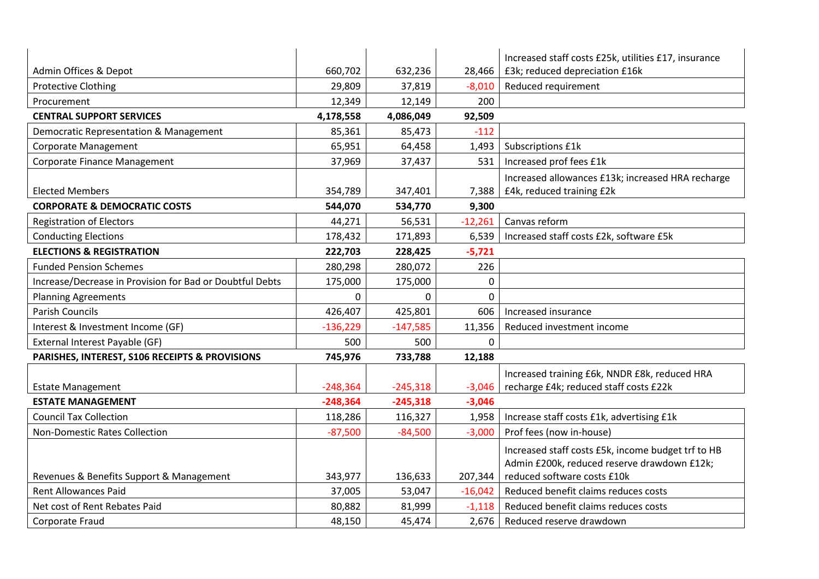|                                                          |            |            |           | Increased staff costs £25k, utilities £17, insurance |
|----------------------------------------------------------|------------|------------|-----------|------------------------------------------------------|
| Admin Offices & Depot                                    | 660,702    | 632,236    | 28,466    | £3k; reduced depreciation £16k                       |
| <b>Protective Clothing</b>                               | 29,809     | 37,819     | $-8,010$  | Reduced requirement                                  |
| Procurement                                              | 12,349     | 12,149     | 200       |                                                      |
| <b>CENTRAL SUPPORT SERVICES</b>                          | 4,178,558  | 4,086,049  | 92,509    |                                                      |
| Democratic Representation & Management                   | 85,361     | 85,473     | $-112$    |                                                      |
| Corporate Management                                     | 65,951     | 64,458     | 1,493     | Subscriptions £1k                                    |
| Corporate Finance Management                             | 37,969     | 37,437     | 531       | Increased prof fees £1k                              |
|                                                          |            |            |           | Increased allowances £13k; increased HRA recharge    |
| <b>Elected Members</b>                                   | 354,789    | 347,401    | 7,388     | £4k, reduced training £2k                            |
| <b>CORPORATE &amp; DEMOCRATIC COSTS</b>                  | 544,070    | 534,770    | 9,300     |                                                      |
| <b>Registration of Electors</b>                          | 44,271     | 56,531     | $-12,261$ | Canvas reform                                        |
| <b>Conducting Elections</b>                              | 178,432    | 171,893    | 6,539     | Increased staff costs £2k, software £5k              |
| <b>ELECTIONS &amp; REGISTRATION</b>                      | 222,703    | 228,425    | $-5,721$  |                                                      |
| <b>Funded Pension Schemes</b>                            | 280,298    | 280,072    | 226       |                                                      |
| Increase/Decrease in Provision for Bad or Doubtful Debts | 175,000    | 175,000    | 0         |                                                      |
| <b>Planning Agreements</b>                               | 0          | $\Omega$   | 0         |                                                      |
| <b>Parish Councils</b>                                   | 426,407    | 425,801    | 606       | Increased insurance                                  |
| Interest & Investment Income (GF)                        | $-136,229$ | $-147,585$ | 11,356    | Reduced investment income                            |
| External Interest Payable (GF)                           | 500        | 500        | $\Omega$  |                                                      |
| PARISHES, INTEREST, S106 RECEIPTS & PROVISIONS           | 745,976    | 733,788    | 12,188    |                                                      |
|                                                          |            |            |           | Increased training £6k, NNDR £8k, reduced HRA        |
| <b>Estate Management</b>                                 | $-248,364$ | $-245,318$ | $-3,046$  | recharge £4k; reduced staff costs £22k               |
| <b>ESTATE MANAGEMENT</b>                                 | $-248,364$ | $-245,318$ | $-3,046$  |                                                      |
| <b>Council Tax Collection</b>                            | 118,286    | 116,327    | 1,958     | Increase staff costs £1k, advertising £1k            |
| <b>Non-Domestic Rates Collection</b>                     | $-87,500$  | $-84,500$  | $-3,000$  | Prof fees (now in-house)                             |
|                                                          |            |            |           | Increased staff costs £5k, income budget trf to HB   |
|                                                          |            |            |           | Admin £200k, reduced reserve drawdown £12k;          |
| Revenues & Benefits Support & Management                 | 343,977    | 136,633    | 207,344   | reduced software costs £10k                          |
| <b>Rent Allowances Paid</b>                              | 37,005     | 53,047     | $-16,042$ | Reduced benefit claims reduces costs                 |
| Net cost of Rent Rebates Paid                            | 80,882     | 81,999     | $-1,118$  | Reduced benefit claims reduces costs                 |
| Corporate Fraud                                          | 48,150     | 45,474     | 2,676     | Reduced reserve drawdown                             |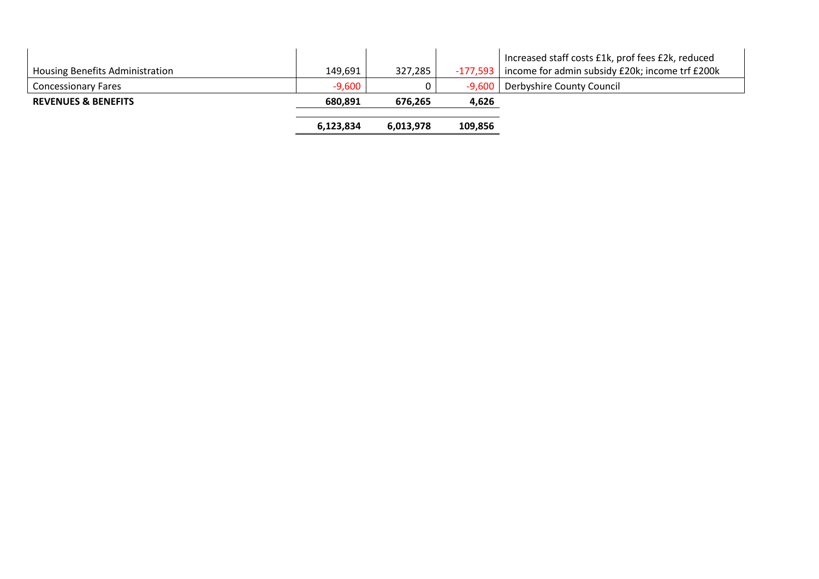|                                 | 6,123,834 | 6,013,978 | 109,856    |                                                                                                      |
|---------------------------------|-----------|-----------|------------|------------------------------------------------------------------------------------------------------|
| <b>REVENUES &amp; BENEFITS</b>  | 680,891   | 676,265   | 4,626      |                                                                                                      |
| <b>Concessionary Fares</b>      | $-9,600$  |           | $-9,600$   | Derbyshire County Council                                                                            |
| Housing Benefits Administration | 149,691   | 327,285   | $-177,593$ | Increased staff costs £1k, prof fees £2k, reduced<br>income for admin subsidy £20k; income trf £200k |